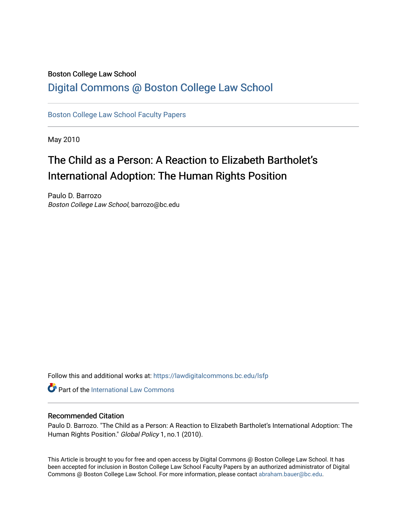### Boston College Law School

## [Digital Commons @ Boston College Law School](https://lawdigitalcommons.bc.edu/)

[Boston College Law School Faculty Papers](https://lawdigitalcommons.bc.edu/lsfp) 

May 2010

## The Child as a Person: A Reaction to Elizabeth Bartholet's International Adoption: The Human Rights Position

Paulo D. Barrozo Boston College Law School, barrozo@bc.edu

Follow this and additional works at: [https://lawdigitalcommons.bc.edu/lsfp](https://lawdigitalcommons.bc.edu/lsfp?utm_source=lawdigitalcommons.bc.edu%2Flsfp%2F518&utm_medium=PDF&utm_campaign=PDFCoverPages) 

**C** Part of the International Law Commons

### Recommended Citation

Paulo D. Barrozo. "The Child as a Person: A Reaction to Elizabeth Bartholet's International Adoption: The Human Rights Position." Global Policy 1, no.1 (2010).

This Article is brought to you for free and open access by Digital Commons @ Boston College Law School. It has been accepted for inclusion in Boston College Law School Faculty Papers by an authorized administrator of Digital Commons @ Boston College Law School. For more information, please contact [abraham.bauer@bc.edu.](mailto:abraham.bauer@bc.edu)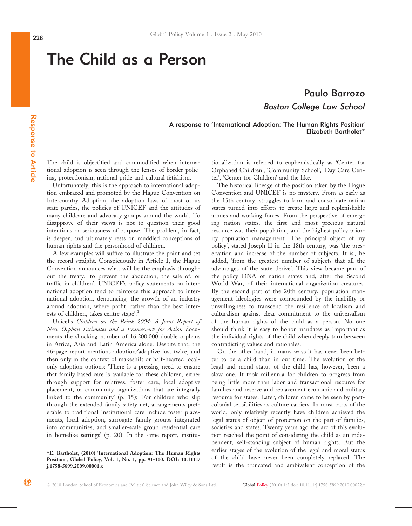# The Child as a Person

## Paulo Barrozo Boston College Law School

### A response to 'International Adoption: The Human Rights Position' Elizabeth Bartholet\*

The child is objectified and commodified when international adoption is seen through the lenses of border policing, protectionism, national pride and cultural fetishism.

Unfortunately, this is the approach to international adoption embraced and promoted by the Hague Convention on Intercountry Adoption, the adoption laws of most of its state parties, the policies of UNICEF and the attitudes of many childcare and advocacy groups around the world. To disapprove of their views is not to question their good intentions or seriousness of purpose. The problem, in fact, is deeper, and ultimately rests on muddled conceptions of human rights and the personhood of children.

A few examples will suffice to illustrate the point and set the record straight. Conspicuously in Article 1, the Hague Convention announces what will be the emphasis throughout the treaty, 'to prevent the abduction, the sale of, or traffic in children'. UNICEF's policy statements on international adoption tend to reinforce this approach to international adoption, denouncing 'the growth of an industry around adoption, where profit, rather than the best interests of children, takes centre stage'.1

Unicef's Children on the Brink 2004: A Joint Report of New Orphan Estimates and a Framework for Action documents the shocking number of 16,200,000 double orphans in Africa, Asia and Latin America alone. Despite that, the 46-page report mentions adoption ⁄ adoptive just twice, and then only in the context of makeshift or half-hearted localonly adoption options: 'There is a pressing need to ensure that family based care is available for these children, either through support for relatives, foster care, local adoptive placement, or community organizations that are integrally linked to the community' (p. 15); 'For children who slip through the extended family safety net, arrangements preferable to traditional institutional care include foster placements, local adoption, surrogate family groups integrated into communities, and smaller-scale group residential care in homelike settings' (p. 20). In the same report, institu-

\*E. Bartholet, (2010) 'International Adoption: The Human Rights Position', Global Policy, Vol. 1, No. 1, pp. 91-100. DOI: 10.1111/ j.1758-5899.2009.00001.x

tionalization is referred to euphemistically as 'Center for Orphaned Children', 'Community School', 'Day Care Center', 'Center for Children' and the like.

The historical lineage of the position taken by the Hague Convention and UNICEF is no mystery. From as early as the 15th century, struggles to form and consolidate nation states turned into efforts to create large and replenishable armies and working forces. From the perspective of emerging nation states, the first and most precious natural resource was their population, and the highest policy priority population management. 'The principal object of my policy', stated Joseph II in the 18th century, was 'the preservation and increase of the number of subjects. It is', he added, 'from the greatest number of subjects that all the advantages of the state derive'. This view became part of the policy DNA of nation states and, after the Second World War, of their international organization creatures. By the second part of the 20th century, population management ideologies were compounded by the inability or unwillingness to transcend the resilience of localism and culturalism against clear commitment to the universalism of the human rights of the child as a person. No one should think it is easy to honor mandates as important as the individual rights of the child when deeply torn between contradicting values and rationales.

On the other hand, in many ways it has never been better to be a child than in our time. The evolution of the legal and moral status of the child has, however, been a slow one. It took millennia for children to progress from being little more than labor and transactional resource for families and reserve and replacement economic and military resource for states. Later, children came to be seen by postcolonial sensibilities as culture carriers. In most parts of the world, only relatively recently have children achieved the legal status of object of protection on the part of families, societies and states. Twenty years ago the arc of this evolution reached the point of considering the child as an independent, self-standing subject of human rights. But the earlier stages of the evolution of the legal and moral status of the child have never been completely replaced. The result is the truncated and ambivalent conception of the

മ്ര